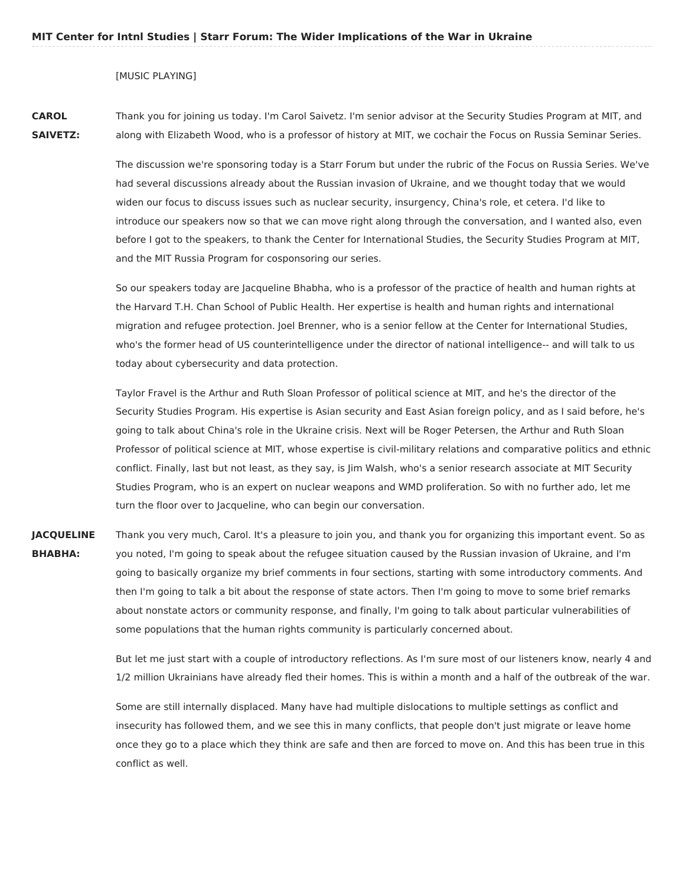#### [MUSIC PLAYING]

# **CAROL SAIVETZ:**

Thank you for joining us today. I'm Carol Saivetz. I'm senior advisor at the Security Studies Program at MIT, and along with Elizabeth Wood, who is a professor of history at MIT, we cochair the Focus on Russia Seminar Series.

The discussion we're sponsoring today is a Starr Forum but under the rubric of the Focus on Russia Series. We've had several discussions already about the Russian invasion of Ukraine, and we thought today that we would widen our focus to discuss issues such as nuclear security, insurgency, China's role, et cetera. I'd like to introduce our speakers now so that we can move right along through the conversation, and I wanted also, even before I got to the speakers, to thank the Center for International Studies, the Security Studies Program at MIT, and the MIT Russia Program for cosponsoring our series.

So our speakers today are Jacqueline Bhabha, who is a professor of the practice of health and human rights at the Harvard T.H. Chan School of Public Health. Her expertise is health and human rights and international migration and refugee protection. Joel Brenner, who is a senior fellow at the Center for International Studies, who's the former head of US counterintelligence under the director of national intelligence-- and will talk to us today about cybersecurity and data protection.

Taylor Fravel is the Arthur and Ruth Sloan Professor of political science at MIT, and he's the director of the Security Studies Program. His expertise is Asian security and East Asian foreign policy, and as I said before, he's going to talk about China's role in the Ukraine crisis. Next will be Roger Petersen, the Arthur and Ruth Sloan Professor of political science at MIT, whose expertise is civil-military relations and comparative politics and ethnic conflict. Finally, last but not least, as they say, is Jim Walsh, who's a senior research associate at MIT Security Studies Program, who is an expert on nuclear weapons and WMD proliferation. So with no further ado, let me turn the floor over to Jacqueline, who can begin our conversation.

**JACQUELINE BHABHA:** Thank you very much, Carol. It's a pleasure to join you, and thank you for organizing this important event. So as you noted, I'm going to speak about the refugee situation caused by the Russian invasion of Ukraine, and I'm going to basically organize my brief comments in four sections, starting with some introductory comments. And then I'm going to talk a bit about the response of state actors. Then I'm going to move to some brief remarks about nonstate actors or community response, and finally, I'm going to talk about particular vulnerabilities of some populations that the human rights community is particularly concerned about.

> But let me just start with a couple of introductory reflections. As I'm sure most of our listeners know, nearly 4 and 1/2 million Ukrainians have already fled their homes. This is within a month and a half of the outbreak of the war.

Some are still internally displaced. Many have had multiple dislocations to multiple settings as conflict and insecurity has followed them, and we see this in many conflicts, that people don't just migrate or leave home once they go to a place which they think are safe and then are forced to move on. And this has been true in this conflict as well.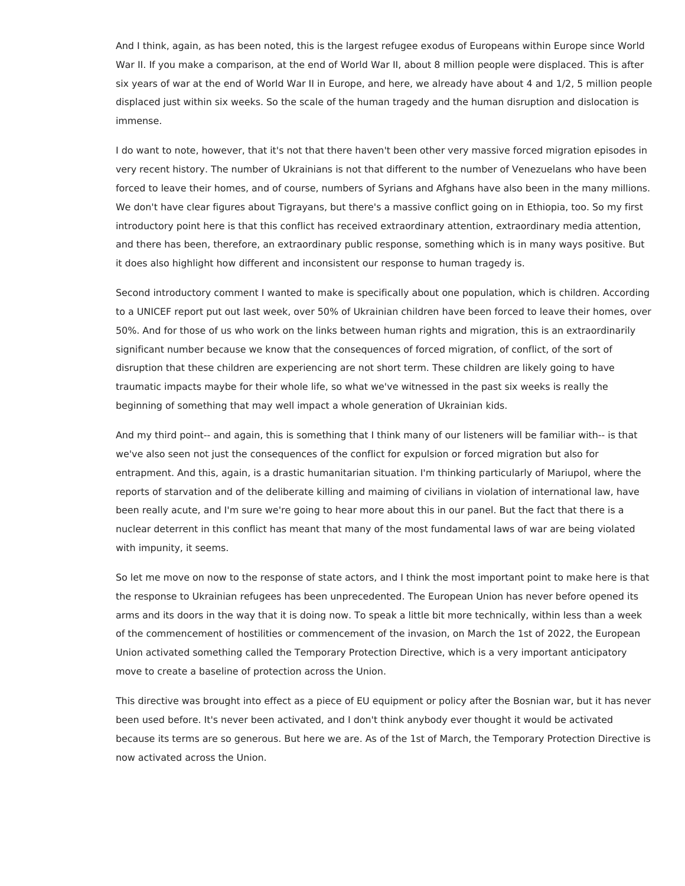And I think, again, as has been noted, this is the largest refugee exodus of Europeans within Europe since World War II. If you make a comparison, at the end of World War II, about 8 million people were displaced. This is after six years of war at the end of World War II in Europe, and here, we already have about 4 and 1/2, 5 million people displaced just within six weeks. So the scale of the human tragedy and the human disruption and dislocation is immense.

I do want to note, however, that it's not that there haven't been other very massive forced migration episodes in very recent history. The number of Ukrainians is not that different to the number of Venezuelans who have been forced to leave their homes, and of course, numbers of Syrians and Afghans have also been in the many millions. We don't have clear figures about Tigrayans, but there's a massive conflict going on in Ethiopia, too. So my first introductory point here is that this conflict has received extraordinary attention, extraordinary media attention, and there has been, therefore, an extraordinary public response, something which is in many ways positive. But it does also highlight how different and inconsistent our response to human tragedy is.

Second introductory comment I wanted to make is specifically about one population, which is children. According to a UNICEF report put out last week, over 50% of Ukrainian children have been forced to leave their homes, over 50%. And for those of us who work on the links between human rights and migration, this is an extraordinarily significant number because we know that the consequences of forced migration, of conflict, of the sort of disruption that these children are experiencing are not short term. These children are likely going to have traumatic impacts maybe for their whole life, so what we've witnessed in the past six weeks is really the beginning of something that may well impact a whole generation of Ukrainian kids.

And my third point-- and again, this is something that I think many of our listeners will be familiar with-- is that we've also seen not just the consequences of the conflict for expulsion or forced migration but also for entrapment. And this, again, is a drastic humanitarian situation. I'm thinking particularly of Mariupol, where the reports of starvation and of the deliberate killing and maiming of civilians in violation of international law, have been really acute, and I'm sure we're going to hear more about this in our panel. But the fact that there is a nuclear deterrent in this conflict has meant that many of the most fundamental laws of war are being violated with impunity, it seems.

So let me move on now to the response of state actors, and I think the most important point to make here is that the response to Ukrainian refugees has been unprecedented. The European Union has never before opened its arms and its doors in the way that it is doing now. To speak a little bit more technically, within less than a week of the commencement of hostilities or commencement of the invasion, on March the 1st of 2022, the European Union activated something called the Temporary Protection Directive, which is a very important anticipatory move to create a baseline of protection across the Union.

This directive was brought into effect as a piece of EU equipment or policy after the Bosnian war, but it has never been used before. It's never been activated, and I don't think anybody ever thought it would be activated because its terms are so generous. But here we are. As of the 1st of March, the Temporary Protection Directive is now activated across the Union.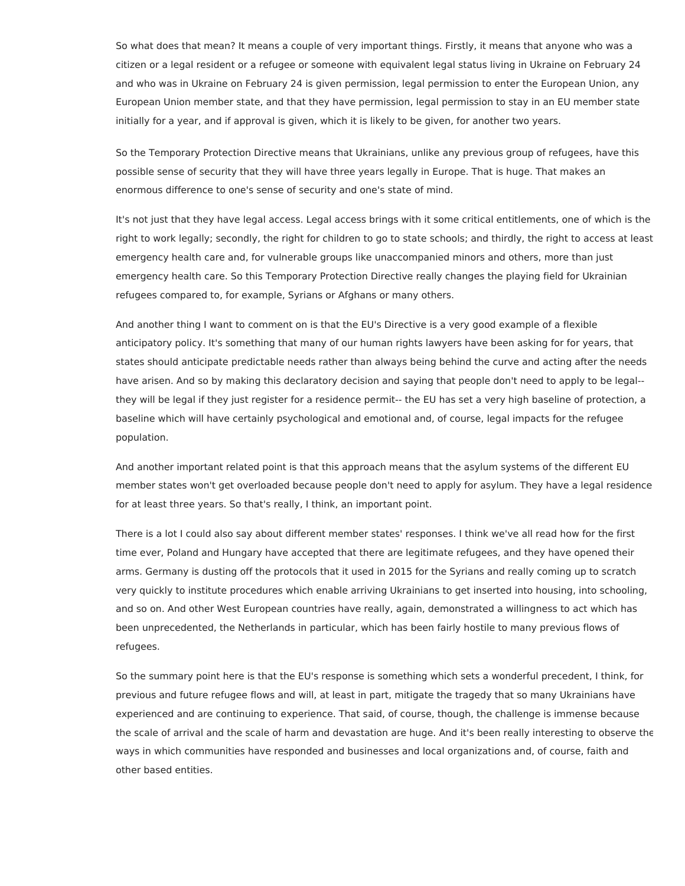So what does that mean? It means a couple of very important things. Firstly, it means that anyone who was a citizen or a legal resident or a refugee or someone with equivalent legal status living in Ukraine on February 24 and who was in Ukraine on February 24 is given permission, legal permission to enter the European Union, any European Union member state, and that they have permission, legal permission to stay in an EU member state initially for a year, and if approval is given, which it is likely to be given, for another two years.

So the Temporary Protection Directive means that Ukrainians, unlike any previous group of refugees, have this possible sense of security that they will have three years legally in Europe. That is huge. That makes an enormous difference to one's sense of security and one's state of mind.

It's not just that they have legal access. Legal access brings with it some critical entitlements, one of which is the right to work legally; secondly, the right for children to go to state schools; and thirdly, the right to access at least emergency health care and, for vulnerable groups like unaccompanied minors and others, more than just emergency health care. So this Temporary Protection Directive really changes the playing field for Ukrainian refugees compared to, for example, Syrians or Afghans or many others.

And another thing I want to comment on is that the EU's Directive is a very good example of a flexible anticipatory policy. It's something that many of our human rights lawyers have been asking for for years, that states should anticipate predictable needs rather than always being behind the curve and acting after the needs have arisen. And so by making this declaratory decision and saying that people don't need to apply to be legal- they will be legal if they just register for a residence permit-- the EU has set a very high baseline of protection, a baseline which will have certainly psychological and emotional and, of course, legal impacts for the refugee population.

And another important related point is that this approach means that the asylum systems of the different EU member states won't get overloaded because people don't need to apply for asylum. They have a legal residence for at least three years. So that's really, I think, an important point.

There is a lot I could also say about different member states' responses. I think we've all read how for the first time ever, Poland and Hungary have accepted that there are legitimate refugees, and they have opened their arms. Germany is dusting off the protocols that it used in 2015 for the Syrians and really coming up to scratch very quickly to institute procedures which enable arriving Ukrainians to get inserted into housing, into schooling, and so on. And other West European countries have really, again, demonstrated a willingness to act which has been unprecedented, the Netherlands in particular, which has been fairly hostile to many previous flows of refugees.

So the summary point here is that the EU's response is something which sets a wonderful precedent, I think, for previous and future refugee flows and will, at least in part, mitigate the tragedy that so many Ukrainians have experienced and are continuing to experience. That said, of course, though, the challenge is immense because the scale of arrival and the scale of harm and devastation are huge. And it's been really interesting to observe the ways in which communities have responded and businesses and local organizations and, of course, faith and other based entities.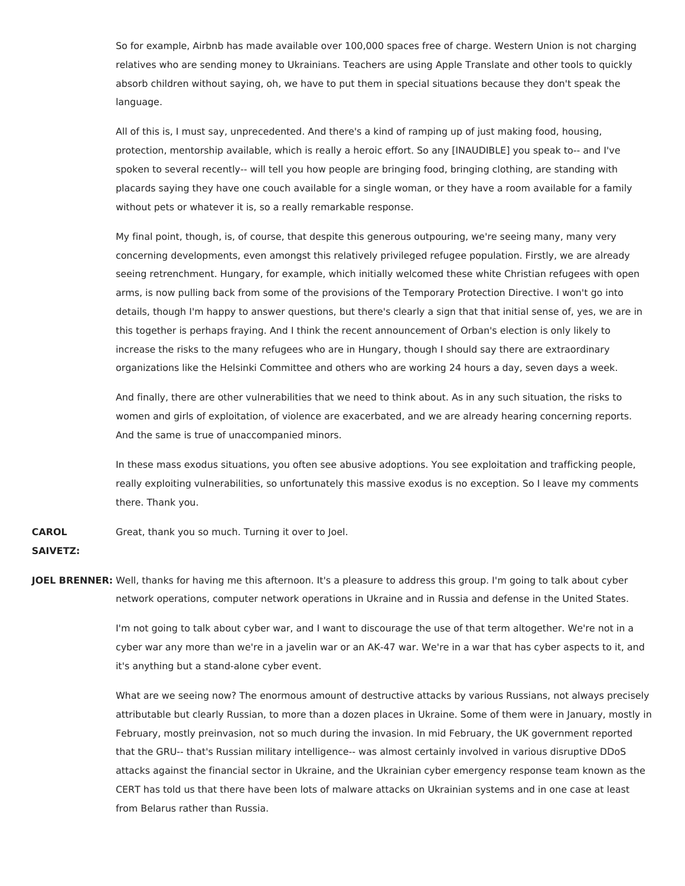So for example, Airbnb has made available over 100,000 spaces free of charge. Western Union is not charging relatives who are sending money to Ukrainians. Teachers are using Apple Translate and other tools to quickly absorb children without saying, oh, we have to put them in special situations because they don't speak the language.

All of this is, I must say, unprecedented. And there's a kind of ramping up of just making food, housing, protection, mentorship available, which is really a heroic effort. So any [INAUDIBLE] you speak to-- and I've spoken to several recently-- will tell you how people are bringing food, bringing clothing, are standing with placards saying they have one couch available for a single woman, or they have a room available for a family without pets or whatever it is, so a really remarkable response.

My final point, though, is, of course, that despite this generous outpouring, we're seeing many, many very concerning developments, even amongst this relatively privileged refugee population. Firstly, we are already seeing retrenchment. Hungary, for example, which initially welcomed these white Christian refugees with open arms, is now pulling back from some of the provisions of the Temporary Protection Directive. I won't go into details, though I'm happy to answer questions, but there's clearly a sign that that initial sense of, yes, we are in this together is perhaps fraying. And I think the recent announcement of Orban's election is only likely to increase the risks to the many refugees who are in Hungary, though I should say there are extraordinary organizations like the Helsinki Committee and others who are working 24 hours a day, seven days a week.

And finally, there are other vulnerabilities that we need to think about. As in any such situation, the risks to women and girls of exploitation, of violence are exacerbated, and we are already hearing concerning reports. And the same is true of unaccompanied minors.

In these mass exodus situations, you often see abusive adoptions. You see exploitation and trafficking people, really exploiting vulnerabilities, so unfortunately this massive exodus is no exception. So I leave my comments there. Thank you.

**CAROL** Great, thank you so much. Turning it over to Joel.

#### **SAIVETZ:**

**JOEL BRENNER:** Well, thanks for having me this afternoon. It's a pleasure to address this group. I'm going to talk about cyber network operations, computer network operations in Ukraine and in Russia and defense in the United States.

> I'm not going to talk about cyber war, and I want to discourage the use of that term altogether. We're not in a cyber war any more than we're in a javelin war or an AK-47 war. We're in a war that has cyber aspects to it, and it's anything but a stand-alone cyber event.

What are we seeing now? The enormous amount of destructive attacks by various Russians, not always precisely attributable but clearly Russian, to more than a dozen places in Ukraine. Some of them were in January, mostly in February, mostly preinvasion, not so much during the invasion. In mid February, the UK government reported that the GRU-- that's Russian military intelligence-- was almost certainly involved in various disruptive DDoS attacks against the financial sector in Ukraine, and the Ukrainian cyber emergency response team known as the CERT has told us that there have been lots of malware attacks on Ukrainian systems and in one case at least from Belarus rather than Russia.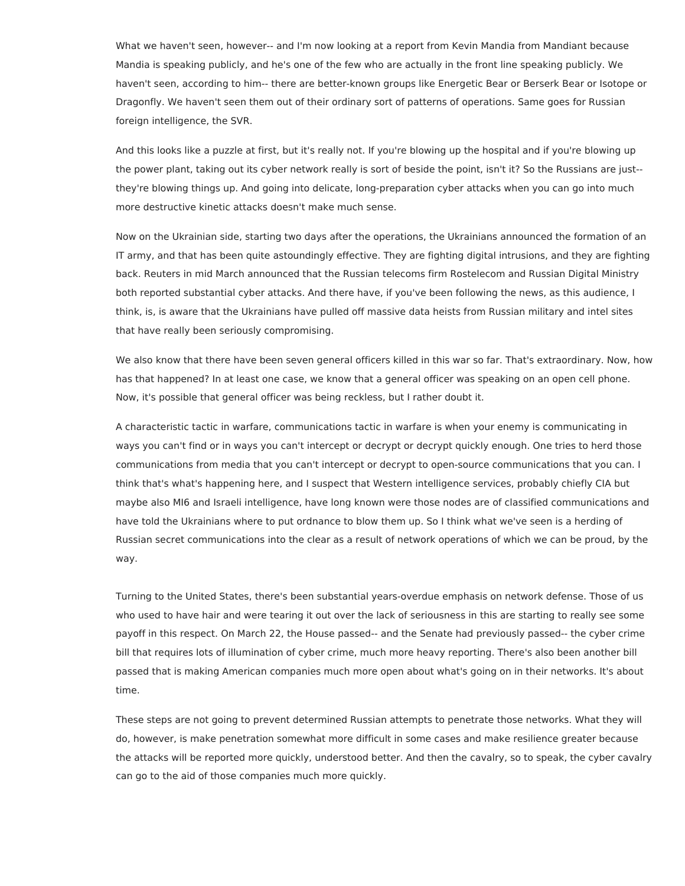What we haven't seen, however-- and I'm now looking at a report from Kevin Mandia from Mandiant because Mandia is speaking publicly, and he's one of the few who are actually in the front line speaking publicly. We haven't seen, according to him-- there are better-known groups like Energetic Bear or Berserk Bear or Isotope or Dragonfly. We haven't seen them out of their ordinary sort of patterns of operations. Same goes for Russian foreign intelligence, the SVR.

And this looks like a puzzle at first, but it's really not. If you're blowing up the hospital and if you're blowing up the power plant, taking out its cyber network really is sort of beside the point, isn't it? So the Russians are just- they're blowing things up. And going into delicate, long-preparation cyber attacks when you can go into much more destructive kinetic attacks doesn't make much sense.

Now on the Ukrainian side, starting two days after the operations, the Ukrainians announced the formation of an IT army, and that has been quite astoundingly effective. They are fighting digital intrusions, and they are fighting back. Reuters in mid March announced that the Russian telecoms firm Rostelecom and Russian Digital Ministry both reported substantial cyber attacks. And there have, if you've been following the news, as this audience, I think, is, is aware that the Ukrainians have pulled off massive data heists from Russian military and intel sites that have really been seriously compromising.

We also know that there have been seven general officers killed in this war so far. That's extraordinary. Now, how has that happened? In at least one case, we know that a general officer was speaking on an open cell phone. Now, it's possible that general officer was being reckless, but I rather doubt it.

A characteristic tactic in warfare, communications tactic in warfare is when your enemy is communicating in ways you can't find or in ways you can't intercept or decrypt or decrypt quickly enough. One tries to herd those communications from media that you can't intercept or decrypt to open-source communications that you can. I think that's what's happening here, and I suspect that Western intelligence services, probably chiefly CIA but maybe also MI6 and Israeli intelligence, have long known were those nodes are of classified communications and have told the Ukrainians where to put ordnance to blow them up. So I think what we've seen is a herding of Russian secret communications into the clear as a result of network operations of which we can be proud, by the way.

Turning to the United States, there's been substantial years-overdue emphasis on network defense. Those of us who used to have hair and were tearing it out over the lack of seriousness in this are starting to really see some payoff in this respect. On March 22, the House passed-- and the Senate had previously passed-- the cyber crime bill that requires lots of illumination of cyber crime, much more heavy reporting. There's also been another bill passed that is making American companies much more open about what's going on in their networks. It's about time.

These steps are not going to prevent determined Russian attempts to penetrate those networks. What they will do, however, is make penetration somewhat more difficult in some cases and make resilience greater because the attacks will be reported more quickly, understood better. And then the cavalry, so to speak, the cyber cavalry can go to the aid of those companies much more quickly.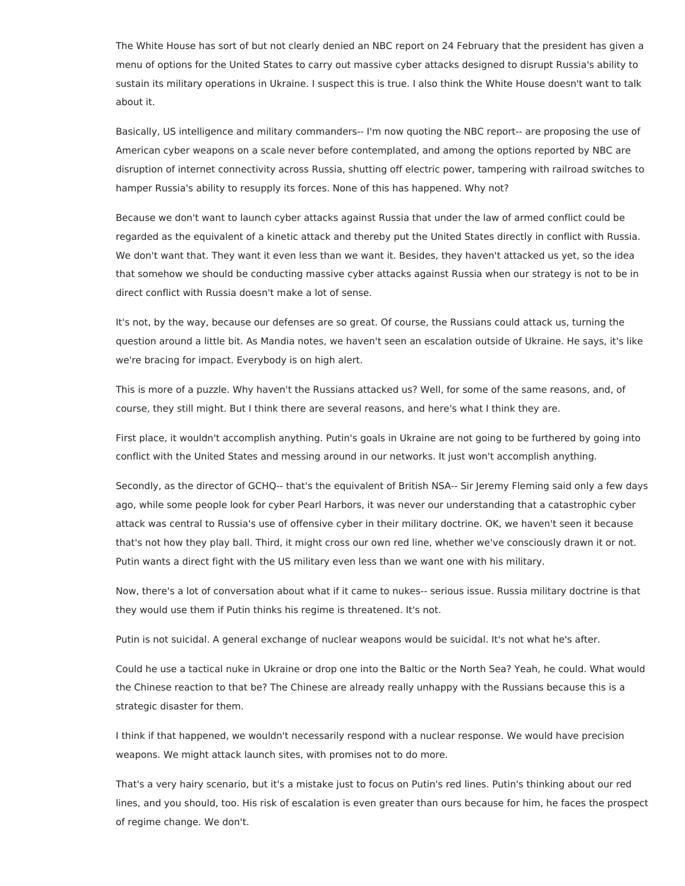The White House has sort of but not clearly denied an NBC report on 24 February that the president has given a menu of options for the United States to carry out massive cyber attacks designed to disrupt Russia's ability to sustain its military operations in Ukraine. I suspect this is true. I also think the White House doesn't want to talk about it.

Basically, US intelligence and military commanders-- I'm now quoting the NBC report-- are proposing the use of American cyber weapons on a scale never before contemplated, and among the options reported by NBC are disruption of internet connectivity across Russia, shutting off electric power, tampering with railroad switches to hamper Russia's ability to resupply its forces. None of this has happened. Why not?

Because we don't want to launch cyber attacks against Russia that under the law of armed conflict could be regarded as the equivalent of a kinetic attack and thereby put the United States directly in conflict with Russia. We don't want that. They want it even less than we want it. Besides, they haven't attacked us yet, so the idea that somehow we should be conducting massive cyber attacks against Russia when our strategy is not to be in direct conflict with Russia doesn't make a lot of sense.

It's not, by the way, because our defenses are so great. Of course, the Russians could attack us, turning the question around a little bit. As Mandia notes, we haven't seen an escalation outside of Ukraine. He says, it's like we're bracing for impact. Everybody is on high alert.

This is more of a puzzle. Why haven't the Russians attacked us? Well, for some of the same reasons, and, of course, they still might. But I think there are several reasons, and here's what I think they are.

First place, it wouldn't accomplish anything. Putin's goals in Ukraine are not going to be furthered by going into conflict with the United States and messing around in our networks. It just won't accomplish anything.

Secondly, as the director of GCHQ-- that's the equivalent of British NSA-- Sir Jeremy Fleming said only a few days ago, while some people look for cyber Pearl Harbors, it was never our understanding that a catastrophic cyber attack was central to Russia's use of offensive cyber in their military doctrine. OK, we haven't seen it because that's not how they play ball. Third, it might cross our own red line, whether we've consciously drawn it or not. Putin wants a direct fight with the US military even less than we want one with his military.

Now, there's a lot of conversation about what if it came to nukes-- serious issue. Russia military doctrine is that they would use them if Putin thinks his regime is threatened. It's not.

Putin is not suicidal. A general exchange of nuclear weapons would be suicidal. It's not what he's after.

Could he use a tactical nuke in Ukraine or drop one into the Baltic or the North Sea? Yeah, he could. What would the Chinese reaction to that be? The Chinese are already really unhappy with the Russians because this is a strategic disaster for them.

I think if that happened, we wouldn't necessarily respond with a nuclear response. We would have precision weapons. We might attack launch sites, with promises not to do more.

That's a very hairy scenario, but it's a mistake just to focus on Putin's red lines. Putin's thinking about our red lines, and you should, too. His risk of escalation is even greater than ours because for him, he faces the prospect of regime change. We don't.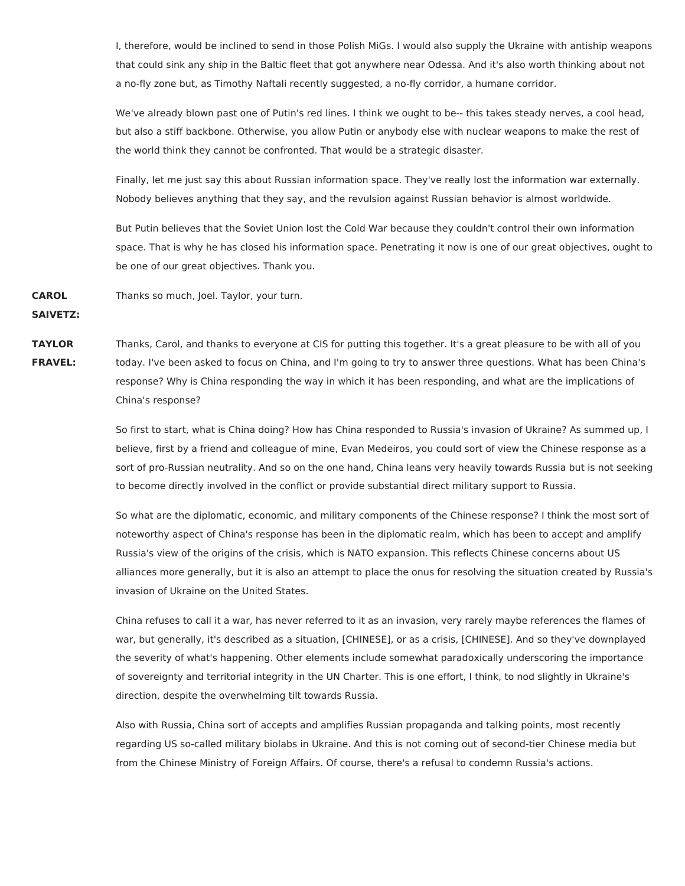I, therefore, would be inclined to send in those Polish MiGs. I would also supply the Ukraine with antiship weapons that could sink any ship in the Baltic fleet that got anywhere near Odessa. And it's also worth thinking about not a no-fly zone but, as Timothy Naftali recently suggested, a no-fly corridor, a humane corridor.

We've already blown past one of Putin's red lines. I think we ought to be-- this takes steady nerves, a cool head, but also a stiff backbone. Otherwise, you allow Putin or anybody else with nuclear weapons to make the rest of the world think they cannot be confronted. That would be a strategic disaster.

Finally, let me just say this about Russian information space. They've really lost the information war externally. Nobody believes anything that they say, and the revulsion against Russian behavior is almost worldwide.

But Putin believes that the Soviet Union lost the Cold War because they couldn't control their own information space. That is why he has closed his information space. Penetrating it now is one of our great objectives, ought to be one of our great objectives. Thank you.

**CAROL** Thanks so much, Joel. Taylor, your turn.

**SAIVETZ:**

**TAYLOR FRAVEL:** Thanks, Carol, and thanks to everyone at CIS for putting this together. It's a great pleasure to be with all of you today. I've been asked to focus on China, and I'm going to try to answer three questions. What has been China's response? Why is China responding the way in which it has been responding, and what are the implications of China's response?

> So first to start, what is China doing? How has China responded to Russia's invasion of Ukraine? As summed up, I believe, first by a friend and colleague of mine, Evan Medeiros, you could sort of view the Chinese response as a sort of pro-Russian neutrality. And so on the one hand, China leans very heavily towards Russia but is not seeking to become directly involved in the conflict or provide substantial direct military support to Russia.

> So what are the diplomatic, economic, and military components of the Chinese response? I think the most sort of noteworthy aspect of China's response has been in the diplomatic realm, which has been to accept and amplify Russia's view of the origins of the crisis, which is NATO expansion. This reflects Chinese concerns about US alliances more generally, but it is also an attempt to place the onus for resolving the situation created by Russia's invasion of Ukraine on the United States.

China refuses to call it a war, has never referred to it as an invasion, very rarely maybe references the flames of war, but generally, it's described as a situation, [CHINESE], or as a crisis, [CHINESE]. And so they've downplayed the severity of what's happening. Other elements include somewhat paradoxically underscoring the importance of sovereignty and territorial integrity in the UN Charter. This is one effort, I think, to nod slightly in Ukraine's direction, despite the overwhelming tilt towards Russia.

Also with Russia, China sort of accepts and amplifies Russian propaganda and talking points, most recently regarding US so-called military biolabs in Ukraine. And this is not coming out of second-tier Chinese media but from the Chinese Ministry of Foreign Affairs. Of course, there's a refusal to condemn Russia's actions.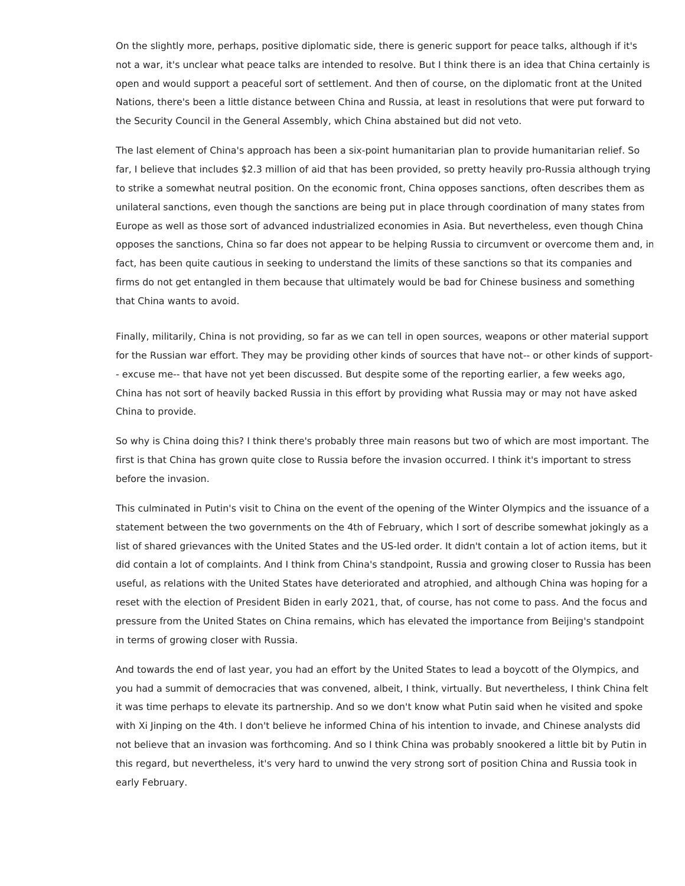On the slightly more, perhaps, positive diplomatic side, there is generic support for peace talks, although if it's not a war, it's unclear what peace talks are intended to resolve. But I think there is an idea that China certainly is open and would support a peaceful sort of settlement. And then of course, on the diplomatic front at the United Nations, there's been a little distance between China and Russia, at least in resolutions that were put forward to the Security Council in the General Assembly, which China abstained but did not veto.

The last element of China's approach has been a six-point humanitarian plan to provide humanitarian relief. So far, I believe that includes \$2.3 million of aid that has been provided, so pretty heavily pro-Russia although trying to strike a somewhat neutral position. On the economic front, China opposes sanctions, often describes them as unilateral sanctions, even though the sanctions are being put in place through coordination of many states from Europe as well as those sort of advanced industrialized economies in Asia. But nevertheless, even though China opposes the sanctions, China so far does not appear to be helping Russia to circumvent or overcome them and, in fact, has been quite cautious in seeking to understand the limits of these sanctions so that its companies and firms do not get entangled in them because that ultimately would be bad for Chinese business and something that China wants to avoid.

Finally, militarily, China is not providing, so far as we can tell in open sources, weapons or other material support for the Russian war effort. They may be providing other kinds of sources that have not-- or other kinds of support- - excuse me-- that have not yet been discussed. But despite some of the reporting earlier, a few weeks ago, China has not sort of heavily backed Russia in this effort by providing what Russia may or may not have asked China to provide.

So why is China doing this? I think there's probably three main reasons but two of which are most important. The first is that China has grown quite close to Russia before the invasion occurred. I think it's important to stress before the invasion.

This culminated in Putin's visit to China on the event of the opening of the Winter Olympics and the issuance of a statement between the two governments on the 4th of February, which I sort of describe somewhat jokingly as a list of shared grievances with the United States and the US-led order. It didn't contain a lot of action items, but it did contain a lot of complaints. And I think from China's standpoint, Russia and growing closer to Russia has been useful, as relations with the United States have deteriorated and atrophied, and although China was hoping for a reset with the election of President Biden in early 2021, that, of course, has not come to pass. And the focus and pressure from the United States on China remains, which has elevated the importance from Beijing's standpoint in terms of growing closer with Russia.

And towards the end of last year, you had an effort by the United States to lead a boycott of the Olympics, and you had a summit of democracies that was convened, albeit, I think, virtually. But nevertheless, I think China felt it was time perhaps to elevate its partnership. And so we don't know what Putin said when he visited and spoke with Xi Jinping on the 4th. I don't believe he informed China of his intention to invade, and Chinese analysts did not believe that an invasion was forthcoming. And so I think China was probably snookered a little bit by Putin in this regard, but nevertheless, it's very hard to unwind the very strong sort of position China and Russia took in early February.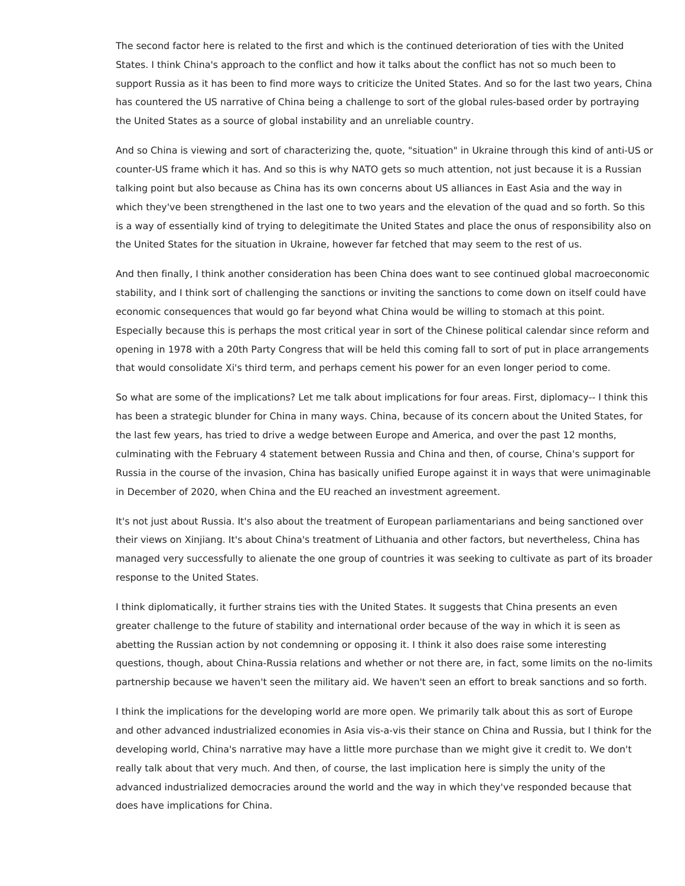The second factor here is related to the first and which is the continued deterioration of ties with the United States. I think China's approach to the conflict and how it talks about the conflict has not so much been to support Russia as it has been to find more ways to criticize the United States. And so for the last two years, China has countered the US narrative of China being a challenge to sort of the global rules-based order by portraying the United States as a source of global instability and an unreliable country.

And so China is viewing and sort of characterizing the, quote, "situation" in Ukraine through this kind of anti-US or counter-US frame which it has. And so this is why NATO gets so much attention, not just because it is a Russian talking point but also because as China has its own concerns about US alliances in East Asia and the way in which they've been strengthened in the last one to two years and the elevation of the quad and so forth. So this is a way of essentially kind of trying to delegitimate the United States and place the onus of responsibility also on the United States for the situation in Ukraine, however far fetched that may seem to the rest of us.

And then finally, I think another consideration has been China does want to see continued global macroeconomic stability, and I think sort of challenging the sanctions or inviting the sanctions to come down on itself could have economic consequences that would go far beyond what China would be willing to stomach at this point. Especially because this is perhaps the most critical year in sort of the Chinese political calendar since reform and opening in 1978 with a 20th Party Congress that will be held this coming fall to sort of put in place arrangements that would consolidate Xi's third term, and perhaps cement his power for an even longer period to come.

So what are some of the implications? Let me talk about implications for four areas. First, diplomacy-- I think this has been a strategic blunder for China in many ways. China, because of its concern about the United States, for the last few years, has tried to drive a wedge between Europe and America, and over the past 12 months, culminating with the February 4 statement between Russia and China and then, of course, China's support for Russia in the course of the invasion, China has basically unified Europe against it in ways that were unimaginable in December of 2020, when China and the EU reached an investment agreement.

It's not just about Russia. It's also about the treatment of European parliamentarians and being sanctioned over their views on Xinjiang. It's about China's treatment of Lithuania and other factors, but nevertheless, China has managed very successfully to alienate the one group of countries it was seeking to cultivate as part of its broader response to the United States.

I think diplomatically, it further strains ties with the United States. It suggests that China presents an even greater challenge to the future of stability and international order because of the way in which it is seen as abetting the Russian action by not condemning or opposing it. I think it also does raise some interesting questions, though, about China-Russia relations and whether or not there are, in fact, some limits on the no-limits partnership because we haven't seen the military aid. We haven't seen an effort to break sanctions and so forth.

I think the implications for the developing world are more open. We primarily talk about this as sort of Europe and other advanced industrialized economies in Asia vis-a-vis their stance on China and Russia, but I think for the developing world, China's narrative may have a little more purchase than we might give it credit to. We don't really talk about that very much. And then, of course, the last implication here is simply the unity of the advanced industrialized democracies around the world and the way in which they've responded because that does have implications for China.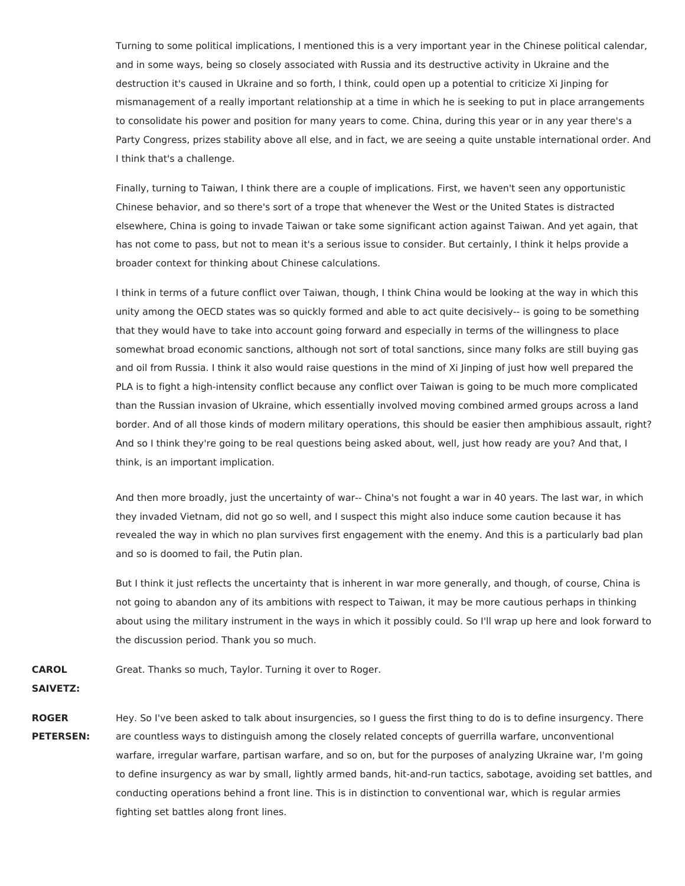Turning to some political implications, I mentioned this is a very important year in the Chinese political calendar, and in some ways, being so closely associated with Russia and its destructive activity in Ukraine and the destruction it's caused in Ukraine and so forth, I think, could open up a potential to criticize Xi Jinping for mismanagement of a really important relationship at a time in which he is seeking to put in place arrangements to consolidate his power and position for many years to come. China, during this year or in any year there's a Party Congress, prizes stability above all else, and in fact, we are seeing a quite unstable international order. And I think that's a challenge.

Finally, turning to Taiwan, I think there are a couple of implications. First, we haven't seen any opportunistic Chinese behavior, and so there's sort of a trope that whenever the West or the United States is distracted elsewhere, China is going to invade Taiwan or take some significant action against Taiwan. And yet again, that has not come to pass, but not to mean it's a serious issue to consider. But certainly, I think it helps provide a broader context for thinking about Chinese calculations.

I think in terms of a future conflict over Taiwan, though, I think China would be looking at the way in which this unity among the OECD states was so quickly formed and able to act quite decisively-- is going to be something that they would have to take into account going forward and especially in terms of the willingness to place somewhat broad economic sanctions, although not sort of total sanctions, since many folks are still buying gas and oil from Russia. I think it also would raise questions in the mind of Xi Jinping of just how well prepared the PLA is to fight a high-intensity conflict because any conflict over Taiwan is going to be much more complicated than the Russian invasion of Ukraine, which essentially involved moving combined armed groups across a land border. And of all those kinds of modern military operations, this should be easier then amphibious assault, right? And so I think they're going to be real questions being asked about, well, just how ready are you? And that, I think, is an important implication.

And then more broadly, just the uncertainty of war-- China's not fought a war in 40 years. The last war, in which they invaded Vietnam, did not go so well, and I suspect this might also induce some caution because it has revealed the way in which no plan survives first engagement with the enemy. And this is a particularly bad plan and so is doomed to fail, the Putin plan.

But I think it just reflects the uncertainty that is inherent in war more generally, and though, of course, China is not going to abandon any of its ambitions with respect to Taiwan, it may be more cautious perhaps in thinking about using the military instrument in the ways in which it possibly could. So I'll wrap up here and look forward to the discussion period. Thank you so much.

**CAROL** Great. Thanks so much, Taylor. Turning it over to Roger.

**SAIVETZ:**

**ROGER PETERSEN:** Hey. So I've been asked to talk about insurgencies, so I guess the first thing to do is to define insurgency. There are countless ways to distinguish among the closely related concepts of guerrilla warfare, unconventional warfare, irregular warfare, partisan warfare, and so on, but for the purposes of analyzing Ukraine war, I'm going to define insurgency as war by small, lightly armed bands, hit-and-run tactics, sabotage, avoiding set battles, and conducting operations behind a front line. This is in distinction to conventional war, which is regular armies fighting set battles along front lines.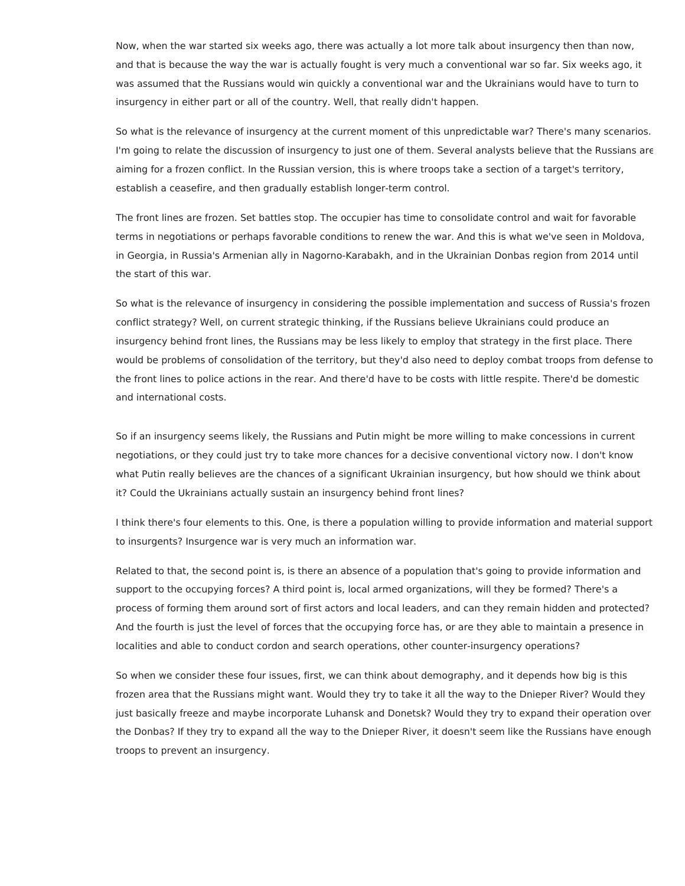Now, when the war started six weeks ago, there was actually a lot more talk about insurgency then than now, and that is because the way the war is actually fought is very much a conventional war so far. Six weeks ago, it was assumed that the Russians would win quickly a conventional war and the Ukrainians would have to turn to insurgency in either part or all of the country. Well, that really didn't happen.

So what is the relevance of insurgency at the current moment of this unpredictable war? There's many scenarios. I'm going to relate the discussion of insurgency to just one of them. Several analysts believe that the Russians are aiming for a frozen conflict. In the Russian version, this is where troops take a section of a target's territory, establish a ceasefire, and then gradually establish longer-term control.

The front lines are frozen. Set battles stop. The occupier has time to consolidate control and wait for favorable terms in negotiations or perhaps favorable conditions to renew the war. And this is what we've seen in Moldova, in Georgia, in Russia's Armenian ally in Nagorno-Karabakh, and in the Ukrainian Donbas region from 2014 until the start of this war.

So what is the relevance of insurgency in considering the possible implementation and success of Russia's frozen conflict strategy? Well, on current strategic thinking, if the Russians believe Ukrainians could produce an insurgency behind front lines, the Russians may be less likely to employ that strategy in the first place. There would be problems of consolidation of the territory, but they'd also need to deploy combat troops from defense to the front lines to police actions in the rear. And there'd have to be costs with little respite. There'd be domestic and international costs.

So if an insurgency seems likely, the Russians and Putin might be more willing to make concessions in current negotiations, or they could just try to take more chances for a decisive conventional victory now. I don't know what Putin really believes are the chances of a significant Ukrainian insurgency, but how should we think about it? Could the Ukrainians actually sustain an insurgency behind front lines?

I think there's four elements to this. One, is there a population willing to provide information and material support to insurgents? Insurgence war is very much an information war.

Related to that, the second point is, is there an absence of a population that's going to provide information and support to the occupying forces? A third point is, local armed organizations, will they be formed? There's a process of forming them around sort of first actors and local leaders, and can they remain hidden and protected? And the fourth is just the level of forces that the occupying force has, or are they able to maintain a presence in localities and able to conduct cordon and search operations, other counter-insurgency operations?

So when we consider these four issues, first, we can think about demography, and it depends how big is this frozen area that the Russians might want. Would they try to take it all the way to the Dnieper River? Would they just basically freeze and maybe incorporate Luhansk and Donetsk? Would they try to expand their operation over the Donbas? If they try to expand all the way to the Dnieper River, it doesn't seem like the Russians have enough troops to prevent an insurgency.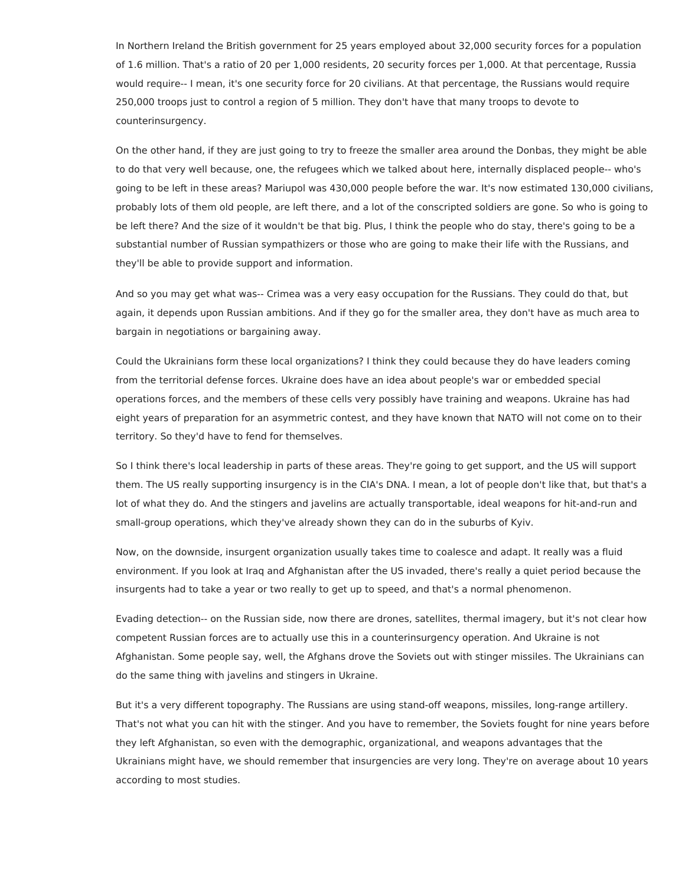In Northern Ireland the British government for 25 years employed about 32,000 security forces for a population of 1.6 million. That's a ratio of 20 per 1,000 residents, 20 security forces per 1,000. At that percentage, Russia would require-- I mean, it's one security force for 20 civilians. At that percentage, the Russians would require 250,000 troops just to control a region of 5 million. They don't have that many troops to devote to counterinsurgency.

On the other hand, if they are just going to try to freeze the smaller area around the Donbas, they might be able to do that very well because, one, the refugees which we talked about here, internally displaced people-- who's going to be left in these areas? Mariupol was 430,000 people before the war. It's now estimated 130,000 civilians, probably lots of them old people, are left there, and a lot of the conscripted soldiers are gone. So who is going to be left there? And the size of it wouldn't be that big. Plus, I think the people who do stay, there's going to be a substantial number of Russian sympathizers or those who are going to make their life with the Russians, and they'll be able to provide support and information.

And so you may get what was-- Crimea was a very easy occupation for the Russians. They could do that, but again, it depends upon Russian ambitions. And if they go for the smaller area, they don't have as much area to bargain in negotiations or bargaining away.

Could the Ukrainians form these local organizations? I think they could because they do have leaders coming from the territorial defense forces. Ukraine does have an idea about people's war or embedded special operations forces, and the members of these cells very possibly have training and weapons. Ukraine has had eight years of preparation for an asymmetric contest, and they have known that NATO will not come on to their territory. So they'd have to fend for themselves.

So I think there's local leadership in parts of these areas. They're going to get support, and the US will support them. The US really supporting insurgency is in the CIA's DNA. I mean, a lot of people don't like that, but that's a lot of what they do. And the stingers and javelins are actually transportable, ideal weapons for hit-and-run and small-group operations, which they've already shown they can do in the suburbs of Kyiv.

Now, on the downside, insurgent organization usually takes time to coalesce and adapt. It really was a fluid environment. If you look at Iraq and Afghanistan after the US invaded, there's really a quiet period because the insurgents had to take a year or two really to get up to speed, and that's a normal phenomenon.

Evading detection-- on the Russian side, now there are drones, satellites, thermal imagery, but it's not clear how competent Russian forces are to actually use this in a counterinsurgency operation. And Ukraine is not Afghanistan. Some people say, well, the Afghans drove the Soviets out with stinger missiles. The Ukrainians can do the same thing with javelins and stingers in Ukraine.

But it's a very different topography. The Russians are using stand-off weapons, missiles, long-range artillery. That's not what you can hit with the stinger. And you have to remember, the Soviets fought for nine years before they left Afghanistan, so even with the demographic, organizational, and weapons advantages that the Ukrainians might have, we should remember that insurgencies are very long. They're on average about 10 years according to most studies.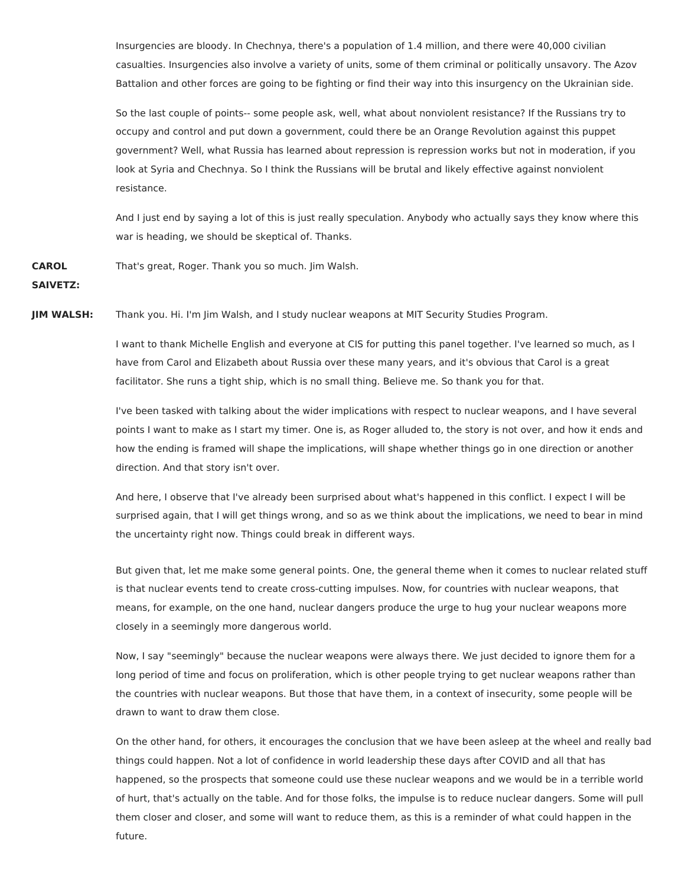Insurgencies are bloody. In Chechnya, there's a population of 1.4 million, and there were 40,000 civilian casualties. Insurgencies also involve a variety of units, some of them criminal or politically unsavory. The Azov Battalion and other forces are going to be fighting or find their way into this insurgency on the Ukrainian side.

So the last couple of points-- some people ask, well, what about nonviolent resistance? If the Russians try to occupy and control and put down a government, could there be an Orange Revolution against this puppet government? Well, what Russia has learned about repression is repression works but not in moderation, if you look at Syria and Chechnya. So I think the Russians will be brutal and likely effective against nonviolent resistance.

And I just end by saying a lot of this is just really speculation. Anybody who actually says they know where this war is heading, we should be skeptical of. Thanks.

**CAROL** That's great, Roger. Thank you so much. Jim Walsh.

**SAIVETZ:**

**JIM WALSH:** Thank you. Hi. I'm Jim Walsh, and I study nuclear weapons at MIT Security Studies Program.

I want to thank Michelle English and everyone at CIS for putting this panel together. I've learned so much, as I have from Carol and Elizabeth about Russia over these many years, and it's obvious that Carol is a great facilitator. She runs a tight ship, which is no small thing. Believe me. So thank you for that.

I've been tasked with talking about the wider implications with respect to nuclear weapons, and I have several points I want to make as I start my timer. One is, as Roger alluded to, the story is not over, and how it ends and how the ending is framed will shape the implications, will shape whether things go in one direction or another direction. And that story isn't over.

And here, I observe that I've already been surprised about what's happened in this conflict. I expect I will be surprised again, that I will get things wrong, and so as we think about the implications, we need to bear in mind the uncertainty right now. Things could break in different ways.

But given that, let me make some general points. One, the general theme when it comes to nuclear related stuff is that nuclear events tend to create cross-cutting impulses. Now, for countries with nuclear weapons, that means, for example, on the one hand, nuclear dangers produce the urge to hug your nuclear weapons more closely in a seemingly more dangerous world.

Now, I say "seemingly" because the nuclear weapons were always there. We just decided to ignore them for a long period of time and focus on proliferation, which is other people trying to get nuclear weapons rather than the countries with nuclear weapons. But those that have them, in a context of insecurity, some people will be drawn to want to draw them close.

On the other hand, for others, it encourages the conclusion that we have been asleep at the wheel and really bad things could happen. Not a lot of confidence in world leadership these days after COVID and all that has happened, so the prospects that someone could use these nuclear weapons and we would be in a terrible world of hurt, that's actually on the table. And for those folks, the impulse is to reduce nuclear dangers. Some will pull them closer and closer, and some will want to reduce them, as this is a reminder of what could happen in the future.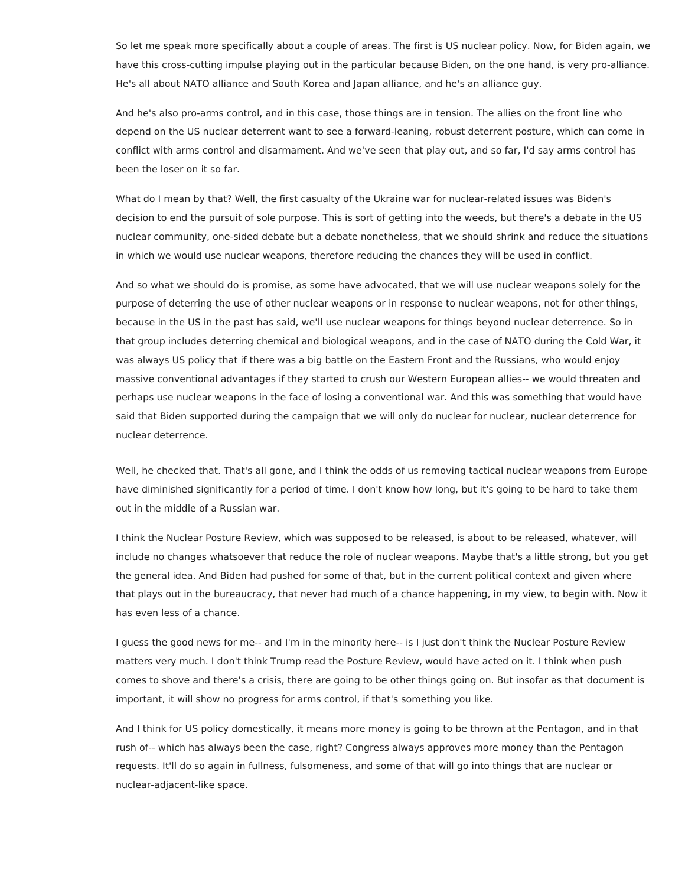So let me speak more specifically about a couple of areas. The first is US nuclear policy. Now, for Biden again, we have this cross-cutting impulse playing out in the particular because Biden, on the one hand, is very pro-alliance. He's all about NATO alliance and South Korea and Japan alliance, and he's an alliance guy.

And he's also pro-arms control, and in this case, those things are in tension. The allies on the front line who depend on the US nuclear deterrent want to see a forward-leaning, robust deterrent posture, which can come in conflict with arms control and disarmament. And we've seen that play out, and so far, I'd say arms control has been the loser on it so far.

What do I mean by that? Well, the first casualty of the Ukraine war for nuclear-related issues was Biden's decision to end the pursuit of sole purpose. This is sort of getting into the weeds, but there's a debate in the US nuclear community, one-sided debate but a debate nonetheless, that we should shrink and reduce the situations in which we would use nuclear weapons, therefore reducing the chances they will be used in conflict.

And so what we should do is promise, as some have advocated, that we will use nuclear weapons solely for the purpose of deterring the use of other nuclear weapons or in response to nuclear weapons, not for other things, because in the US in the past has said, we'll use nuclear weapons for things beyond nuclear deterrence. So in that group includes deterring chemical and biological weapons, and in the case of NATO during the Cold War, it was always US policy that if there was a big battle on the Eastern Front and the Russians, who would enjoy massive conventional advantages if they started to crush our Western European allies-- we would threaten and perhaps use nuclear weapons in the face of losing a conventional war. And this was something that would have said that Biden supported during the campaign that we will only do nuclear for nuclear, nuclear deterrence for nuclear deterrence.

Well, he checked that. That's all gone, and I think the odds of us removing tactical nuclear weapons from Europe have diminished significantly for a period of time. I don't know how long, but it's going to be hard to take them out in the middle of a Russian war.

I think the Nuclear Posture Review, which was supposed to be released, is about to be released, whatever, will include no changes whatsoever that reduce the role of nuclear weapons. Maybe that's a little strong, but you get the general idea. And Biden had pushed for some of that, but in the current political context and given where that plays out in the bureaucracy, that never had much of a chance happening, in my view, to begin with. Now it has even less of a chance.

I guess the good news for me-- and I'm in the minority here-- is I just don't think the Nuclear Posture Review matters very much. I don't think Trump read the Posture Review, would have acted on it. I think when push comes to shove and there's a crisis, there are going to be other things going on. But insofar as that document is important, it will show no progress for arms control, if that's something you like.

And I think for US policy domestically, it means more money is going to be thrown at the Pentagon, and in that rush of-- which has always been the case, right? Congress always approves more money than the Pentagon requests. It'll do so again in fullness, fulsomeness, and some of that will go into things that are nuclear or nuclear-adjacent-like space.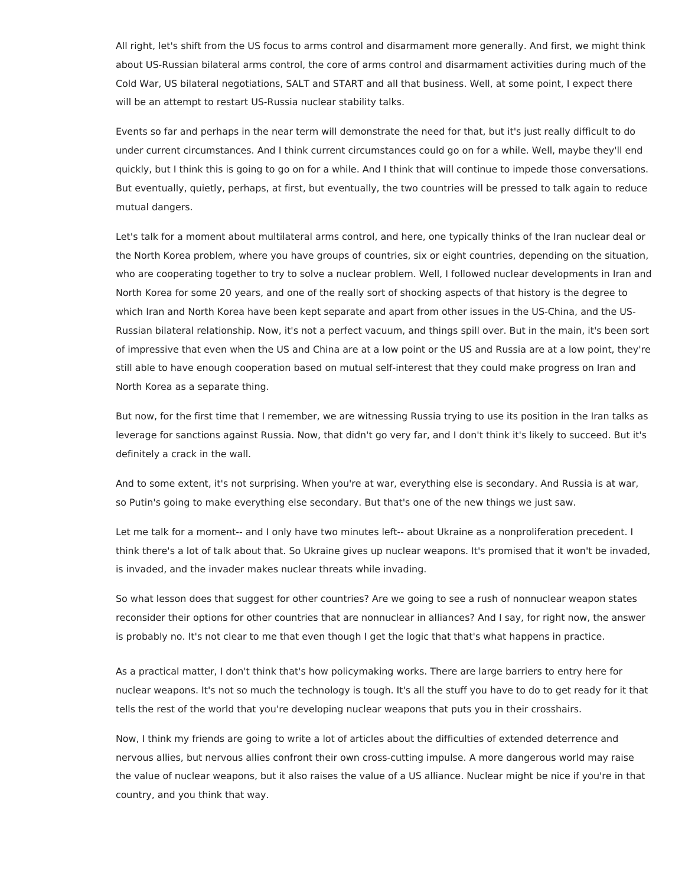All right, let's shift from the US focus to arms control and disarmament more generally. And first, we might think about US-Russian bilateral arms control, the core of arms control and disarmament activities during much of the Cold War, US bilateral negotiations, SALT and START and all that business. Well, at some point, I expect there will be an attempt to restart US-Russia nuclear stability talks.

Events so far and perhaps in the near term will demonstrate the need for that, but it's just really difficult to do under current circumstances. And I think current circumstances could go on for a while. Well, maybe they'll end quickly, but I think this is going to go on for a while. And I think that will continue to impede those conversations. But eventually, quietly, perhaps, at first, but eventually, the two countries will be pressed to talk again to reduce mutual dangers.

Let's talk for a moment about multilateral arms control, and here, one typically thinks of the Iran nuclear deal or the North Korea problem, where you have groups of countries, six or eight countries, depending on the situation, who are cooperating together to try to solve a nuclear problem. Well, I followed nuclear developments in Iran and North Korea for some 20 years, and one of the really sort of shocking aspects of that history is the degree to which Iran and North Korea have been kept separate and apart from other issues in the US-China, and the US-Russian bilateral relationship. Now, it's not a perfect vacuum, and things spill over. But in the main, it's been sort of impressive that even when the US and China are at a low point or the US and Russia are at a low point, they're still able to have enough cooperation based on mutual self-interest that they could make progress on Iran and North Korea as a separate thing.

But now, for the first time that I remember, we are witnessing Russia trying to use its position in the Iran talks as leverage for sanctions against Russia. Now, that didn't go very far, and I don't think it's likely to succeed. But it's definitely a crack in the wall.

And to some extent, it's not surprising. When you're at war, everything else is secondary. And Russia is at war, so Putin's going to make everything else secondary. But that's one of the new things we just saw.

Let me talk for a moment-- and I only have two minutes left-- about Ukraine as a nonproliferation precedent. I think there's a lot of talk about that. So Ukraine gives up nuclear weapons. It's promised that it won't be invaded, is invaded, and the invader makes nuclear threats while invading.

So what lesson does that suggest for other countries? Are we going to see a rush of nonnuclear weapon states reconsider their options for other countries that are nonnuclear in alliances? And I say, for right now, the answer is probably no. It's not clear to me that even though I get the logic that that's what happens in practice.

As a practical matter, I don't think that's how policymaking works. There are large barriers to entry here for nuclear weapons. It's not so much the technology is tough. It's all the stuff you have to do to get ready for it that tells the rest of the world that you're developing nuclear weapons that puts you in their crosshairs.

Now, I think my friends are going to write a lot of articles about the difficulties of extended deterrence and nervous allies, but nervous allies confront their own cross-cutting impulse. A more dangerous world may raise the value of nuclear weapons, but it also raises the value of a US alliance. Nuclear might be nice if you're in that country, and you think that way.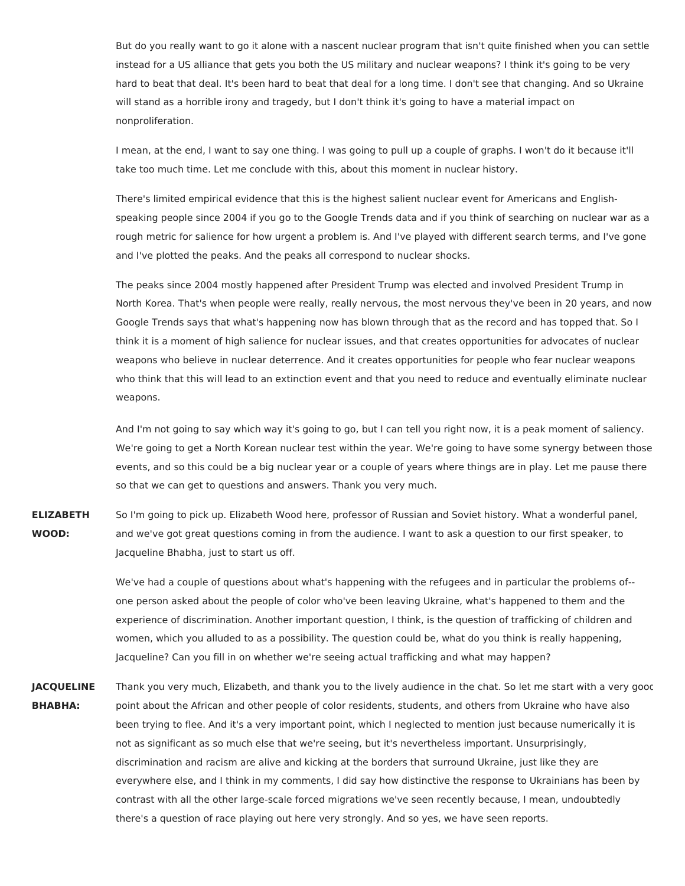But do you really want to go it alone with a nascent nuclear program that isn't quite finished when you can settle instead for a US alliance that gets you both the US military and nuclear weapons? I think it's going to be very hard to beat that deal. It's been hard to beat that deal for a long time. I don't see that changing. And so Ukraine will stand as a horrible irony and tragedy, but I don't think it's going to have a material impact on nonproliferation.

I mean, at the end, I want to say one thing. I was going to pull up a couple of graphs. I won't do it because it'll take too much time. Let me conclude with this, about this moment in nuclear history.

There's limited empirical evidence that this is the highest salient nuclear event for Americans and Englishspeaking people since 2004 if you go to the Google Trends data and if you think of searching on nuclear war as a rough metric for salience for how urgent a problem is. And I've played with different search terms, and I've gone and I've plotted the peaks. And the peaks all correspond to nuclear shocks.

The peaks since 2004 mostly happened after President Trump was elected and involved President Trump in North Korea. That's when people were really, really nervous, the most nervous they've been in 20 years, and now Google Trends says that what's happening now has blown through that as the record and has topped that. So I think it is a moment of high salience for nuclear issues, and that creates opportunities for advocates of nuclear weapons who believe in nuclear deterrence. And it creates opportunities for people who fear nuclear weapons who think that this will lead to an extinction event and that you need to reduce and eventually eliminate nuclear weapons.

And I'm not going to say which way it's going to go, but I can tell you right now, it is a peak moment of saliency. We're going to get a North Korean nuclear test within the year. We're going to have some synergy between those events, and so this could be a big nuclear year or a couple of years where things are in play. Let me pause there so that we can get to questions and answers. Thank you very much.

**ELIZABETH WOOD:** So I'm going to pick up. Elizabeth Wood here, professor of Russian and Soviet history. What a wonderful panel, and we've got great questions coming in from the audience. I want to ask a question to our first speaker, to Jacqueline Bhabha, just to start us off.

> We've had a couple of questions about what's happening with the refugees and in particular the problems of- one person asked about the people of color who've been leaving Ukraine, what's happened to them and the experience of discrimination. Another important question, I think, is the question of trafficking of children and women, which you alluded to as a possibility. The question could be, what do you think is really happening, Jacqueline? Can you fill in on whether we're seeing actual trafficking and what may happen?

**JACQUELINE BHABHA:** Thank you very much, Elizabeth, and thank you to the lively audience in the chat. So let me start with a very gooc point about the African and other people of color residents, students, and others from Ukraine who have also been trying to flee. And it's a very important point, which I neglected to mention just because numerically it is not as significant as so much else that we're seeing, but it's nevertheless important. Unsurprisingly, discrimination and racism are alive and kicking at the borders that surround Ukraine, just like they are everywhere else, and I think in my comments, I did say how distinctive the response to Ukrainians has been by contrast with all the other large-scale forced migrations we've seen recently because, I mean, undoubtedly there's a question of race playing out here very strongly. And so yes, we have seen reports.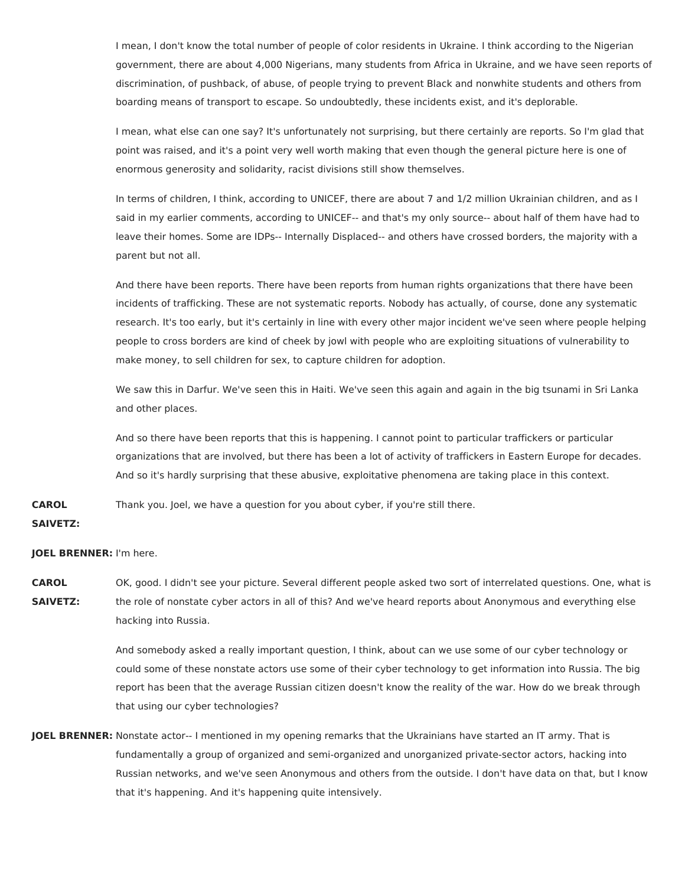I mean, I don't know the total number of people of color residents in Ukraine. I think according to the Nigerian government, there are about 4,000 Nigerians, many students from Africa in Ukraine, and we have seen reports of discrimination, of pushback, of abuse, of people trying to prevent Black and nonwhite students and others from boarding means of transport to escape. So undoubtedly, these incidents exist, and it's deplorable.

I mean, what else can one say? It's unfortunately not surprising, but there certainly are reports. So I'm glad that point was raised, and it's a point very well worth making that even though the general picture here is one of enormous generosity and solidarity, racist divisions still show themselves.

In terms of children, I think, according to UNICEF, there are about 7 and 1/2 million Ukrainian children, and as I said in my earlier comments, according to UNICEF-- and that's my only source-- about half of them have had to leave their homes. Some are IDPs-- Internally Displaced-- and others have crossed borders, the majority with a parent but not all.

And there have been reports. There have been reports from human rights organizations that there have been incidents of trafficking. These are not systematic reports. Nobody has actually, of course, done any systematic research. It's too early, but it's certainly in line with every other major incident we've seen where people helping people to cross borders are kind of cheek by jowl with people who are exploiting situations of vulnerability to make money, to sell children for sex, to capture children for adoption.

We saw this in Darfur. We've seen this in Haiti. We've seen this again and again in the big tsunami in Sri Lanka and other places.

And so there have been reports that this is happening. I cannot point to particular traffickers or particular organizations that are involved, but there has been a lot of activity of traffickers in Eastern Europe for decades. And so it's hardly surprising that these abusive, exploitative phenomena are taking place in this context.

**CAROL** Thank you. Joel, we have a question for you about cyber, if you're still there.

### **SAIVETZ:**

### **JOEL BRENNER:** I'm here.

**CAROL SAIVETZ:** OK, good. I didn't see your picture. Several different people asked two sort of interrelated questions. One, what is the role of nonstate cyber actors in all of this? And we've heard reports about Anonymous and everything else hacking into Russia.

> And somebody asked a really important question, I think, about can we use some of our cyber technology or could some of these nonstate actors use some of their cyber technology to get information into Russia. The big report has been that the average Russian citizen doesn't know the reality of the war. How do we break through that using our cyber technologies?

**JOEL BRENNER:** Nonstate actor-- I mentioned in my opening remarks that the Ukrainians have started an IT army. That is fundamentally a group of organized and semi-organized and unorganized private-sector actors, hacking into Russian networks, and we've seen Anonymous and others from the outside. I don't have data on that, but I know that it's happening. And it's happening quite intensively.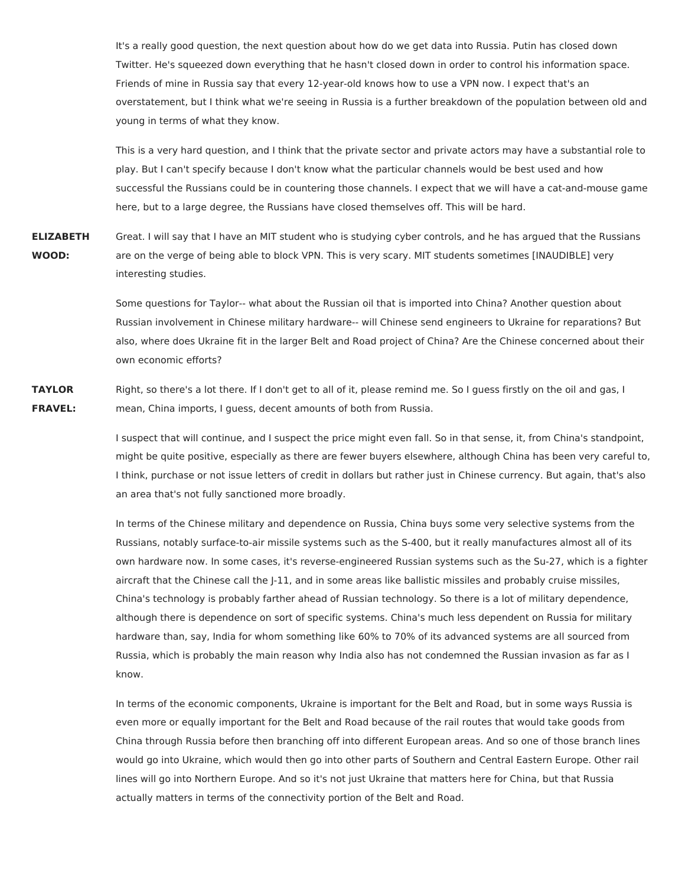It's a really good question, the next question about how do we get data into Russia. Putin has closed down Twitter. He's squeezed down everything that he hasn't closed down in order to control his information space. Friends of mine in Russia say that every 12-year-old knows how to use a VPN now. I expect that's an overstatement, but I think what we're seeing in Russia is a further breakdown of the population between old and young in terms of what they know.

This is a very hard question, and I think that the private sector and private actors may have a substantial role to play. But I can't specify because I don't know what the particular channels would be best used and how successful the Russians could be in countering those channels. I expect that we will have a cat-and-mouse game here, but to a large degree, the Russians have closed themselves off. This will be hard.

**ELIZABETH WOOD:** Great. I will say that I have an MIT student who is studying cyber controls, and he has argued that the Russians are on the verge of being able to block VPN. This is very scary. MIT students sometimes [INAUDIBLE] very interesting studies.

> Some questions for Taylor-- what about the Russian oil that is imported into China? Another question about Russian involvement in Chinese military hardware-- will Chinese send engineers to Ukraine for reparations? But also, where does Ukraine fit in the larger Belt and Road project of China? Are the Chinese concerned about their own economic efforts?

**TAYLOR FRAVEL:** Right, so there's a lot there. If I don't get to all of it, please remind me. So I guess firstly on the oil and gas, I mean, China imports, I guess, decent amounts of both from Russia.

> I suspect that will continue, and I suspect the price might even fall. So in that sense, it, from China's standpoint, might be quite positive, especially as there are fewer buyers elsewhere, although China has been very careful to, I think, purchase or not issue letters of credit in dollars but rather just in Chinese currency. But again, that's also an area that's not fully sanctioned more broadly.

> In terms of the Chinese military and dependence on Russia, China buys some very selective systems from the Russians, notably surface-to-air missile systems such as the S-400, but it really manufactures almost all of its own hardware now. In some cases, it's reverse-engineered Russian systems such as the Su-27, which is a fighter aircraft that the Chinese call the J-11, and in some areas like ballistic missiles and probably cruise missiles, China's technology is probably farther ahead of Russian technology. So there is a lot of military dependence, although there is dependence on sort of specific systems. China's much less dependent on Russia for military hardware than, say, India for whom something like 60% to 70% of its advanced systems are all sourced from Russia, which is probably the main reason why India also has not condemned the Russian invasion as far as I know.

In terms of the economic components, Ukraine is important for the Belt and Road, but in some ways Russia is even more or equally important for the Belt and Road because of the rail routes that would take goods from China through Russia before then branching off into different European areas. And so one of those branch lines would go into Ukraine, which would then go into other parts of Southern and Central Eastern Europe. Other rail lines will go into Northern Europe. And so it's not just Ukraine that matters here for China, but that Russia actually matters in terms of the connectivity portion of the Belt and Road.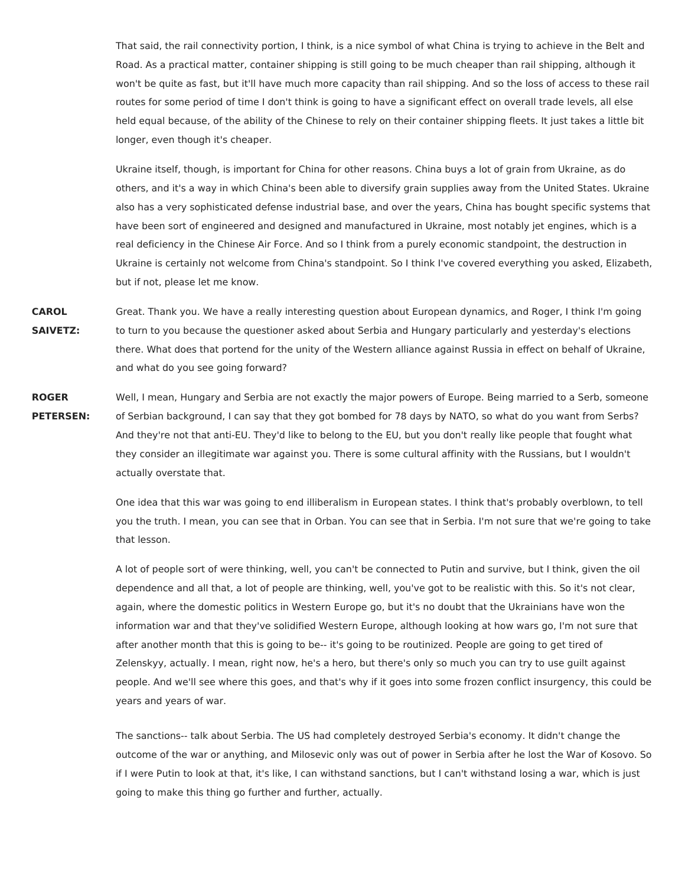That said, the rail connectivity portion, I think, is a nice symbol of what China is trying to achieve in the Belt and Road. As a practical matter, container shipping is still going to be much cheaper than rail shipping, although it won't be quite as fast, but it'll have much more capacity than rail shipping. And so the loss of access to these rail routes for some period of time I don't think is going to have a significant effect on overall trade levels, all else held equal because, of the ability of the Chinese to rely on their container shipping fleets. It just takes a little bit longer, even though it's cheaper.

Ukraine itself, though, is important for China for other reasons. China buys a lot of grain from Ukraine, as do others, and it's a way in which China's been able to diversify grain supplies away from the United States. Ukraine also has a very sophisticated defense industrial base, and over the years, China has bought specific systems that have been sort of engineered and designed and manufactured in Ukraine, most notably jet engines, which is a real deficiency in the Chinese Air Force. And so I think from a purely economic standpoint, the destruction in Ukraine is certainly not welcome from China's standpoint. So I think I've covered everything you asked, Elizabeth, but if not, please let me know.

**CAROL SAIVETZ:** Great. Thank you. We have a really interesting question about European dynamics, and Roger, I think I'm going to turn to you because the questioner asked about Serbia and Hungary particularly and yesterday's elections there. What does that portend for the unity of the Western alliance against Russia in effect on behalf of Ukraine, and what do you see going forward?

**ROGER PETERSEN:** Well, I mean, Hungary and Serbia are not exactly the major powers of Europe. Being married to a Serb, someone of Serbian background, I can say that they got bombed for 78 days by NATO, so what do you want from Serbs? And they're not that anti-EU. They'd like to belong to the EU, but you don't really like people that fought what they consider an illegitimate war against you. There is some cultural affinity with the Russians, but I wouldn't actually overstate that.

> One idea that this war was going to end illiberalism in European states. I think that's probably overblown, to tell you the truth. I mean, you can see that in Orban. You can see that in Serbia. I'm not sure that we're going to take that lesson.

> A lot of people sort of were thinking, well, you can't be connected to Putin and survive, but I think, given the oil dependence and all that, a lot of people are thinking, well, you've got to be realistic with this. So it's not clear, again, where the domestic politics in Western Europe go, but it's no doubt that the Ukrainians have won the information war and that they've solidified Western Europe, although looking at how wars go, I'm not sure that after another month that this is going to be-- it's going to be routinized. People are going to get tired of Zelenskyy, actually. I mean, right now, he's a hero, but there's only so much you can try to use guilt against people. And we'll see where this goes, and that's why if it goes into some frozen conflict insurgency, this could be years and years of war.

> The sanctions-- talk about Serbia. The US had completely destroyed Serbia's economy. It didn't change the outcome of the war or anything, and Milosevic only was out of power in Serbia after he lost the War of Kosovo. So if I were Putin to look at that, it's like, I can withstand sanctions, but I can't withstand losing a war, which is just going to make this thing go further and further, actually.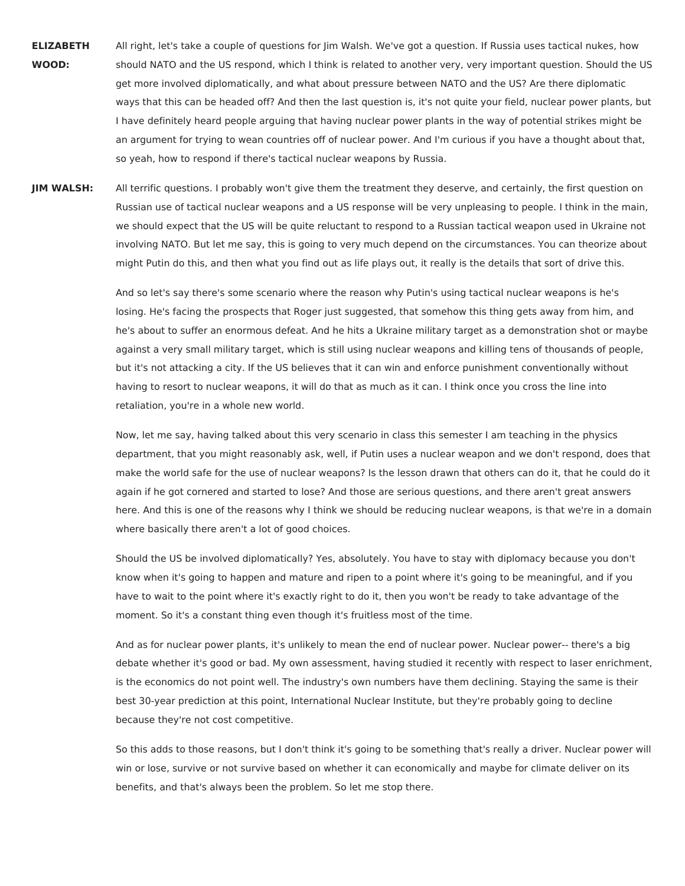- **ELIZABETH WOOD:** All right, let's take a couple of questions for Jim Walsh. We've got a question. If Russia uses tactical nukes, how should NATO and the US respond, which I think is related to another very, very important question. Should the US get more involved diplomatically, and what about pressure between NATO and the US? Are there diplomatic ways that this can be headed off? And then the last question is, it's not quite your field, nuclear power plants, but I have definitely heard people arguing that having nuclear power plants in the way of potential strikes might be an argument for trying to wean countries off of nuclear power. And I'm curious if you have a thought about that, so yeah, how to respond if there's tactical nuclear weapons by Russia.
- **JIM WALSH:** All terrific questions. I probably won't give them the treatment they deserve, and certainly, the first question on Russian use of tactical nuclear weapons and a US response will be very unpleasing to people. I think in the main, we should expect that the US will be quite reluctant to respond to a Russian tactical weapon used in Ukraine not involving NATO. But let me say, this is going to very much depend on the circumstances. You can theorize about might Putin do this, and then what you find out as life plays out, it really is the details that sort of drive this.

And so let's say there's some scenario where the reason why Putin's using tactical nuclear weapons is he's losing. He's facing the prospects that Roger just suggested, that somehow this thing gets away from him, and he's about to suffer an enormous defeat. And he hits a Ukraine military target as a demonstration shot or maybe against a very small military target, which is still using nuclear weapons and killing tens of thousands of people, but it's not attacking a city. If the US believes that it can win and enforce punishment conventionally without having to resort to nuclear weapons, it will do that as much as it can. I think once you cross the line into retaliation, you're in a whole new world.

Now, let me say, having talked about this very scenario in class this semester I am teaching in the physics department, that you might reasonably ask, well, if Putin uses a nuclear weapon and we don't respond, does that make the world safe for the use of nuclear weapons? Is the lesson drawn that others can do it, that he could do it again if he got cornered and started to lose? And those are serious questions, and there aren't great answers here. And this is one of the reasons why I think we should be reducing nuclear weapons, is that we're in a domain where basically there aren't a lot of good choices.

Should the US be involved diplomatically? Yes, absolutely. You have to stay with diplomacy because you don't know when it's going to happen and mature and ripen to a point where it's going to be meaningful, and if you have to wait to the point where it's exactly right to do it, then you won't be ready to take advantage of the moment. So it's a constant thing even though it's fruitless most of the time.

And as for nuclear power plants, it's unlikely to mean the end of nuclear power. Nuclear power-- there's a big debate whether it's good or bad. My own assessment, having studied it recently with respect to laser enrichment, is the economics do not point well. The industry's own numbers have them declining. Staying the same is their best 30-year prediction at this point, International Nuclear Institute, but they're probably going to decline because they're not cost competitive.

So this adds to those reasons, but I don't think it's going to be something that's really a driver. Nuclear power will win or lose, survive or not survive based on whether it can economically and maybe for climate deliver on its benefits, and that's always been the problem. So let me stop there.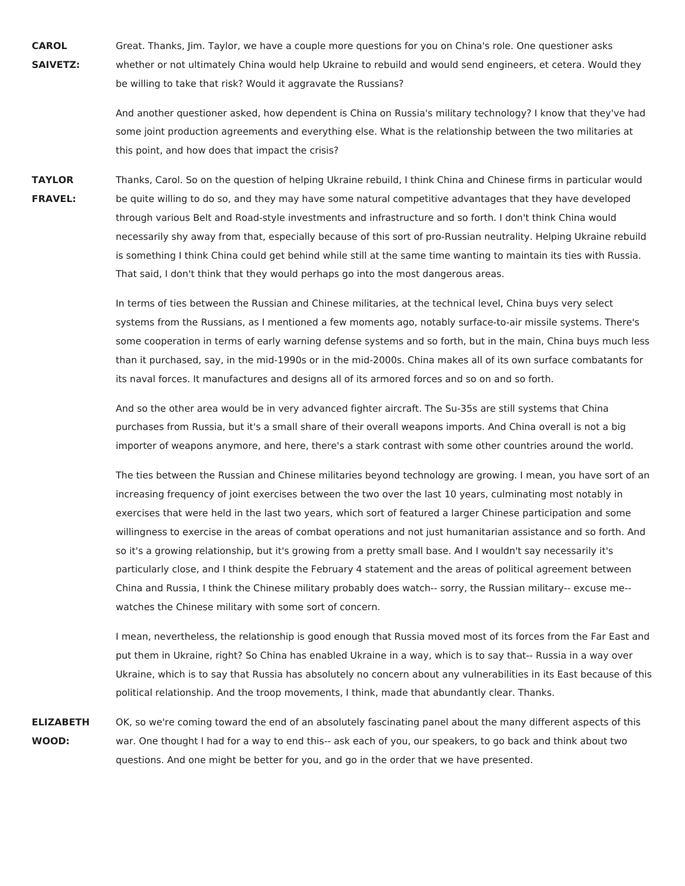**CAROL SAIVETZ:** Great. Thanks, Jim. Taylor, we have a couple more questions for you on China's role. One questioner asks whether or not ultimately China would help Ukraine to rebuild and would send engineers, et cetera. Would they be willing to take that risk? Would it aggravate the Russians?

> And another questioner asked, how dependent is China on Russia's military technology? I know that they've had some joint production agreements and everything else. What is the relationship between the two militaries at this point, and how does that impact the crisis?

**TAYLOR FRAVEL:** Thanks, Carol. So on the question of helping Ukraine rebuild, I think China and Chinese firms in particular would be quite willing to do so, and they may have some natural competitive advantages that they have developed through various Belt and Road-style investments and infrastructure and so forth. I don't think China would necessarily shy away from that, especially because of this sort of pro-Russian neutrality. Helping Ukraine rebuild is something I think China could get behind while still at the same time wanting to maintain its ties with Russia. That said, I don't think that they would perhaps go into the most dangerous areas.

> In terms of ties between the Russian and Chinese militaries, at the technical level, China buys very select systems from the Russians, as I mentioned a few moments ago, notably surface-to-air missile systems. There's some cooperation in terms of early warning defense systems and so forth, but in the main, China buys much less than it purchased, say, in the mid-1990s or in the mid-2000s. China makes all of its own surface combatants for its naval forces. It manufactures and designs all of its armored forces and so on and so forth.

And so the other area would be in very advanced fighter aircraft. The Su-35s are still systems that China purchases from Russia, but it's a small share of their overall weapons imports. And China overall is not a big importer of weapons anymore, and here, there's a stark contrast with some other countries around the world.

The ties between the Russian and Chinese militaries beyond technology are growing. I mean, you have sort of an increasing frequency of joint exercises between the two over the last 10 years, culminating most notably in exercises that were held in the last two years, which sort of featured a larger Chinese participation and some willingness to exercise in the areas of combat operations and not just humanitarian assistance and so forth. And so it's a growing relationship, but it's growing from a pretty small base. And I wouldn't say necessarily it's particularly close, and I think despite the February 4 statement and the areas of political agreement between China and Russia, I think the Chinese military probably does watch-- sorry, the Russian military-- excuse me- watches the Chinese military with some sort of concern.

I mean, nevertheless, the relationship is good enough that Russia moved most of its forces from the Far East and put them in Ukraine, right? So China has enabled Ukraine in a way, which is to say that-- Russia in a way over Ukraine, which is to say that Russia has absolutely no concern about any vulnerabilities in its East because of this political relationship. And the troop movements, I think, made that abundantly clear. Thanks.

**ELIZABETH WOOD:** OK, so we're coming toward the end of an absolutely fascinating panel about the many different aspects of this war. One thought I had for a way to end this-- ask each of you, our speakers, to go back and think about two questions. And one might be better for you, and go in the order that we have presented.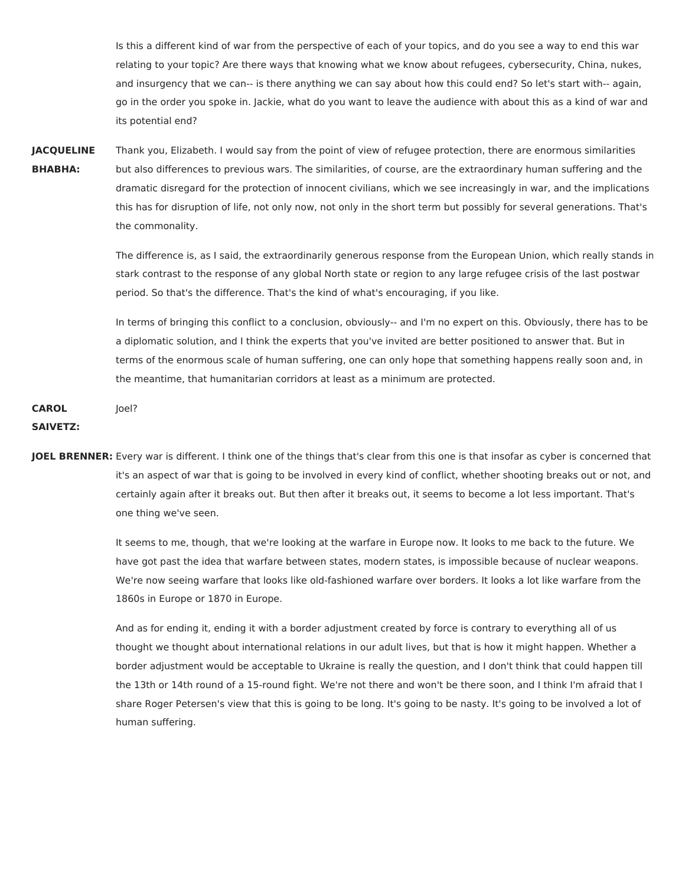Is this a different kind of war from the perspective of each of your topics, and do you see a way to end this war relating to your topic? Are there ways that knowing what we know about refugees, cybersecurity, China, nukes, and insurgency that we can-- is there anything we can say about how this could end? So let's start with-- again, go in the order you spoke in. Jackie, what do you want to leave the audience with about this as a kind of war and its potential end?

### **JACQUELINE BHABHA:** Thank you, Elizabeth. I would say from the point of view of refugee protection, there are enormous similarities but also differences to previous wars. The similarities, of course, are the extraordinary human suffering and the dramatic disregard for the protection of innocent civilians, which we see increasingly in war, and the implications this has for disruption of life, not only now, not only in the short term but possibly for several generations. That's the commonality.

The difference is, as I said, the extraordinarily generous response from the European Union, which really stands in stark contrast to the response of any global North state or region to any large refugee crisis of the last postwar period. So that's the difference. That's the kind of what's encouraging, if you like.

In terms of bringing this conflict to a conclusion, obviously-- and I'm no expert on this. Obviously, there has to be a diplomatic solution, and I think the experts that you've invited are better positioned to answer that. But in terms of the enormous scale of human suffering, one can only hope that something happens really soon and, in the meantime, that humanitarian corridors at least as a minimum are protected.

## **SAIVETZ:**

**JOEL BRENNER:** Every war is different. I think one of the things that's clear from this one is that insofar as cyber is concerned that it's an aspect of war that is going to be involved in every kind of conflict, whether shooting breaks out or not, and certainly again after it breaks out. But then after it breaks out, it seems to become a lot less important. That's one thing we've seen.

> It seems to me, though, that we're looking at the warfare in Europe now. It looks to me back to the future. We have got past the idea that warfare between states, modern states, is impossible because of nuclear weapons. We're now seeing warfare that looks like old-fashioned warfare over borders. It looks a lot like warfare from the 1860s in Europe or 1870 in Europe.

> And as for ending it, ending it with a border adjustment created by force is contrary to everything all of us thought we thought about international relations in our adult lives, but that is how it might happen. Whether a border adjustment would be acceptable to Ukraine is really the question, and I don't think that could happen till the 13th or 14th round of a 15-round fight. We're not there and won't be there soon, and I think I'm afraid that I share Roger Petersen's view that this is going to be long. It's going to be nasty. It's going to be involved a lot of human suffering.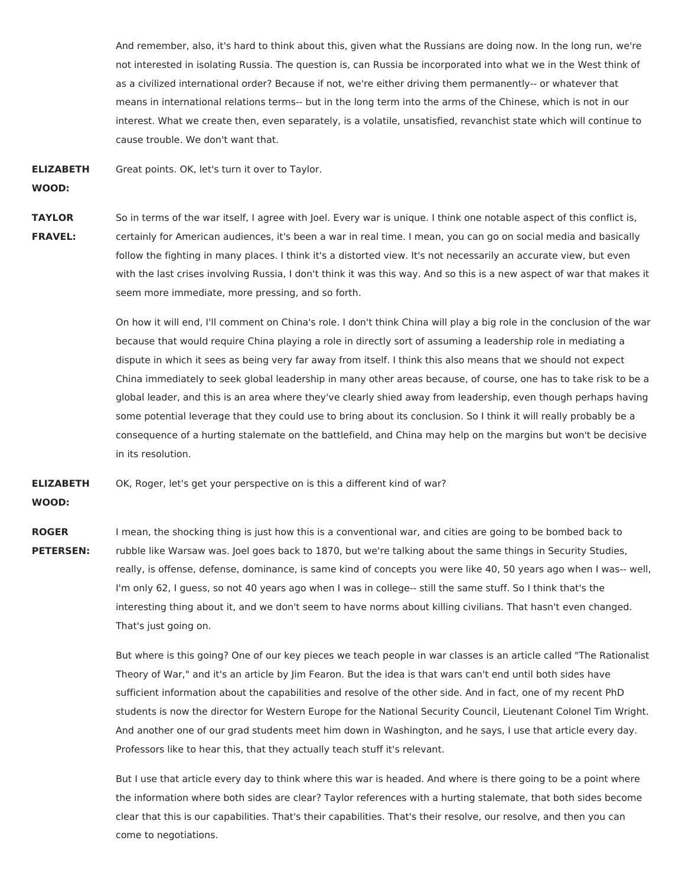And remember, also, it's hard to think about this, given what the Russians are doing now. In the long run, we're not interested in isolating Russia. The question is, can Russia be incorporated into what we in the West think of as a civilized international order? Because if not, we're either driving them permanently-- or whatever that means in international relations terms-- but in the long term into the arms of the Chinese, which is not in our interest. What we create then, even separately, is a volatile, unsatisfied, revanchist state which will continue to cause trouble. We don't want that.

**ELIZABETH WOOD:** Great points. OK, let's turn it over to Taylor.

**TAYLOR FRAVEL:** So in terms of the war itself, I agree with Joel. Every war is unique. I think one notable aspect of this conflict is, certainly for American audiences, it's been a war in real time. I mean, you can go on social media and basically follow the fighting in many places. I think it's a distorted view. It's not necessarily an accurate view, but even with the last crises involving Russia, I don't think it was this way. And so this is a new aspect of war that makes it seem more immediate, more pressing, and so forth.

> On how it will end, I'll comment on China's role. I don't think China will play a big role in the conclusion of the war because that would require China playing a role in directly sort of assuming a leadership role in mediating a dispute in which it sees as being very far away from itself. I think this also means that we should not expect China immediately to seek global leadership in many other areas because, of course, one has to take risk to be a global leader, and this is an area where they've clearly shied away from leadership, even though perhaps having some potential leverage that they could use to bring about its conclusion. So I think it will really probably be a consequence of a hurting stalemate on the battlefield, and China may help on the margins but won't be decisive in its resolution.

**ELIZABETH WOOD:** OK, Roger, let's get your perspective on is this a different kind of war?

**ROGER PETERSEN:** I mean, the shocking thing is just how this is a conventional war, and cities are going to be bombed back to rubble like Warsaw was. Joel goes back to 1870, but we're talking about the same things in Security Studies, really, is offense, defense, dominance, is same kind of concepts you were like 40, 50 years ago when I was-- well, I'm only 62, I guess, so not 40 years ago when I was in college-- still the same stuff. So I think that's the interesting thing about it, and we don't seem to have norms about killing civilians. That hasn't even changed. That's just going on.

> But where is this going? One of our key pieces we teach people in war classes is an article called "The Rationalist Theory of War," and it's an article by Jim Fearon. But the idea is that wars can't end until both sides have sufficient information about the capabilities and resolve of the other side. And in fact, one of my recent PhD students is now the director for Western Europe for the National Security Council, Lieutenant Colonel Tim Wright. And another one of our grad students meet him down in Washington, and he says, I use that article every day. Professors like to hear this, that they actually teach stuff it's relevant.

But I use that article every day to think where this war is headed. And where is there going to be a point where the information where both sides are clear? Taylor references with a hurting stalemate, that both sides become clear that this is our capabilities. That's their capabilities. That's their resolve, our resolve, and then you can come to negotiations.